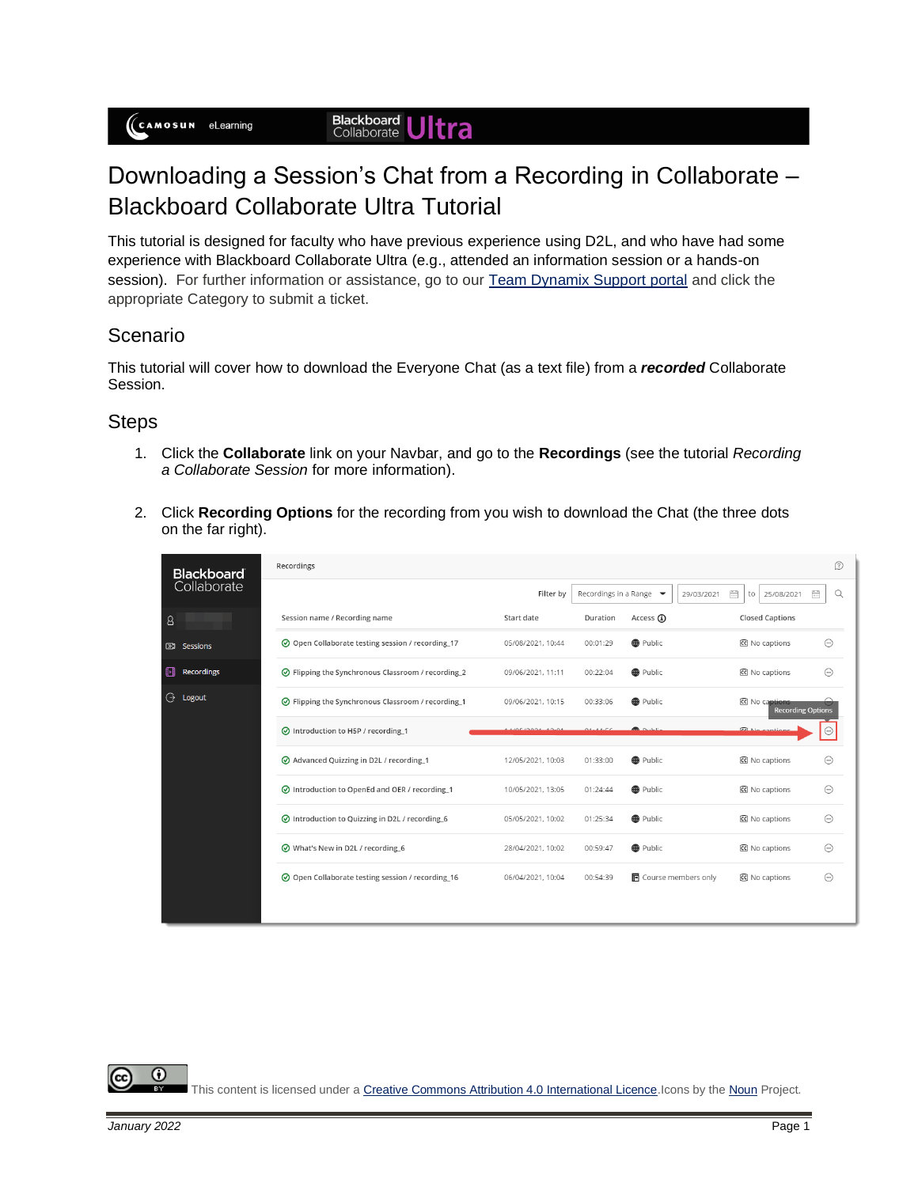## Downloading a Session's Chat from a Recording in Collaborate – Blackboard Collaborate Ultra Tutorial

This tutorial is designed for faculty who have previous experience using D2L, and who have had some experience with Blackboard Collaborate Ultra (e.g., attended an information session or a hands-on session). For further information or assistance, go to our [Team Dynamix Support portal](https://camosun.teamdynamix.com/TDClient/67/Portal/Requests/ServiceCatalog?CategoryID=523) and click the appropriate Category to submit a ticket.

## Scenario

This tutorial will cover how to download the Everyone Chat (as a text file) from a *recorded* Collaborate Session.

## **Steps**

- 1. Click the **Collaborate** link on your Navbar, and go to the **Recordings** (see the tutorial *Recording a Collaborate Session* for more information).
- 2. Click **Recording Options** for the recording from you wish to download the Chat (the three dots on the far right).

| <b>Blackboard</b> | $\Omega$<br>Recordings                             |                   |                                 |                         |                                            |         |  |  |  |  |
|-------------------|----------------------------------------------------|-------------------|---------------------------------|-------------------------|--------------------------------------------|---------|--|--|--|--|
| Collaborate       |                                                    | Filter by         | Recordings in a Range $\bullet$ | 29/03/2021              | 倫<br>25/08/2021<br>to                      | Q<br>論  |  |  |  |  |
| 8                 | Session name / Recording name                      | Start date        | Duration                        | Access $\Omega$         | <b>Closed Captions</b>                     |         |  |  |  |  |
| চয়<br>Sessions   | ⊙ Open Collaborate testing session / recording_17  | 05/08/2021, 10:44 | 00:01:29                        | <b>D</b> Public         | CC No captions                             | $\odot$ |  |  |  |  |
| Recordings<br>眮   | ⊙ Flipping the Synchronous Classroom / recording 2 | 09/06/2021, 11:11 | 00:22:04                        | <b>B</b> Public         | CC No captions                             | ⊕       |  |  |  |  |
| ⊖<br>Logout       | ⊙ Flipping the Synchronous Classroom / recording_1 | 09/06/2021, 10:15 | 00:33:06                        | <b>B</b> Public         | CC No captions<br><b>Recording Options</b> |         |  |  |  |  |
|                   | ⊙ Introduction to H5P / recording 1                |                   |                                 | $R_{\rm th}$ David Line | <b>Collection</b>                          | ⊕       |  |  |  |  |
|                   | Advanced Quizzing in D2L / recording 1             | 12/05/2021, 10:03 | 01:33:00                        | <b>B</b> Public         | CC No captions                             | ⊕       |  |  |  |  |
|                   | ◯ Introduction to OpenEd and OER / recording 1     | 10/05/2021, 13:05 | 01:24:44                        | <b>B</b> Public         | CC No captions                             | ⊕       |  |  |  |  |
|                   | ⊙ Introduction to Quizzing in D2L / recording 6    | 05/05/2021, 10:02 | 01:25:34                        | <b>B</b> Public         | CC No captions                             | ⊕       |  |  |  |  |
|                   | What's New in D2L / recording 6                    | 28/04/2021, 10:02 | 00:59:47                        | <b>B</b> Public         | CC No captions                             | ⊕       |  |  |  |  |
|                   | ⊙ Open Collaborate testing session / recording_16  | 06/04/2021, 10:04 | 00:54:39                        | 同 Course members only   | CC No captions                             | ⊕       |  |  |  |  |
|                   |                                                    |                   |                                 |                         |                                            |         |  |  |  |  |

 $\left( \cdot \right)$ 

This content is licensed under [a Creative Commons Attribution 4.0 International Licence.I](https://creativecommons.org/licenses/by/4.0/)cons by th[e Noun](https://creativecommons.org/website-icons/) Project.